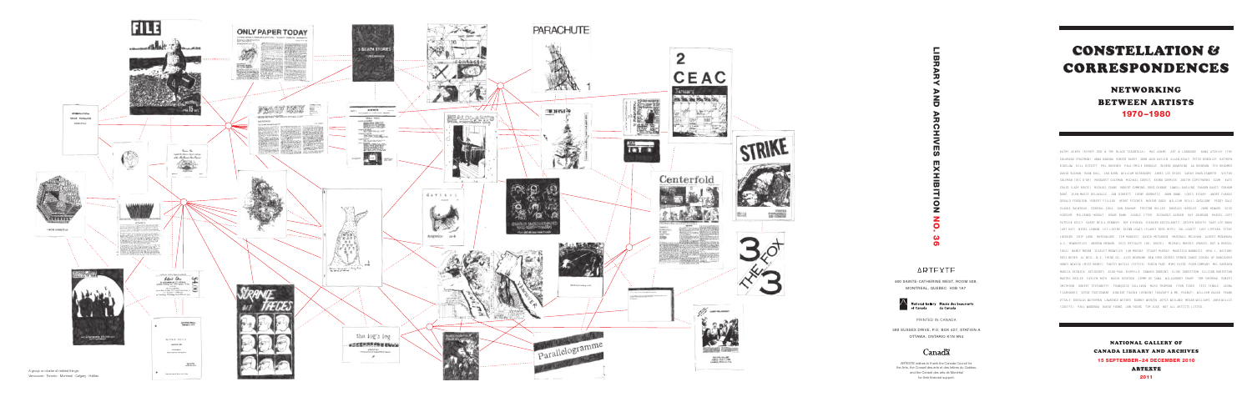PRINTED IN CANADA

380 SUSSEX DRIVE, P.O. BOX 427, STATION A OTTAWA, ONTARIO K1N 9N4

# Canadä

# CONSTELLATION & CORRESPONDENCES

# NETWORKING BETWEEN ARTISTS 1970–1980

ARTEXTE wishes to thank the Canada Council for the Arts, the Conseil des arts et des lettres du Québec, and the Conseil des arts de Montréal for their financial support.

NATIONAL GALLERY OF CANADA LIBRARY AND ARCHIVES 15 SEPTEMBER–24 DECEMBER 2010 ARTEXTE





2011

**ONTREAL, QUEBEC H3B 14 NAtional Gallery Musée des bears of Canada**<br>TRIFE-CATHERINE WEST, ROC<br>ONTREAL, QUEBEC H3B 14 Mational Gallery Musée des bears of Canada<br>of Canada PRINTED IN CANADA<br>SEX DRIVE, P.O. BOX 427, STTAWA, O  $\blacksquare$  $\Omega$ ш  $\boldsymbol{\omega}$  $\blacksquare$ 忈  $\Omega$  $\mathbf{z}$  $\bullet$  $\boldsymbol{\omega}$  $\Omega$ 

# **ARTEXTE**

460 SAINTE-CATHERINE WEST, ROOM 508, MONTREAL, QUEBEC H3B 1A7

> National Gallery Musée des beaux-arts ,<br>du Canada

KATHY ACKER (RIPOFF RED & THE BLACK TARANTULA) MAC ADAMS ART & LANGUAGE DANA ATCHLEY (THE COLORADO SPACEMAN) ANNA BANANA ROBERT BARRY JOHN JACK BAYLIN ALLAN BEALY PETER BENCHLEY KATHRYN BIGELOW BILL BISSETT MEL BOCHNER PAUL-ÉMILE BORDUAS GEORGE BOWERING AA BRONSON STU BROOMER DAVID BUCHAN HANK BULL IAN BURN WILLIAM BURROUGHS JAMES LEE BYARS SARAH CHARLESWORTH VICTOR COLEMAN (VIC D'OR) MARGARET COLEMAN MICHAEL CORRIS BRUNO CORMIER JUDITH COPITHORNE COUM KATE CRAIG (LADY BRUTE) MICHAEL CRANE ROBERT CUMMING GREG CURNOE LOWELL DARLING SHARON DAVIS GRAHAM DUBÉ JEAN-MARIE DELAVALLE JAN DIBBETS IRENE DOGMATIC JOHN DOWD LORIS ESSARY ANDRÉ FARKAS GERALD FERGUSON ROBERT FILLIOU HERVÉ FISCHER MAXINE GADD WILLIAM (BILL) GAGLIONE PEGGY GALE CLAUDE GAUVREAU GENERAL IDEA DAN GRAHAM PRESTON HELLER DOUGLAS HUEBLER JOHN HEWARD DICK HIGGINS MILJENKO HORVAT IMAGE BANK CAROLE ITTER RICHARDS JARDEN RAY JOHNSON MARCEL JUST PATRICK KELLY GARRY NEILL KENNEDY ROY KIYOOKA RICHARD KOSTELANETZ JOSEPH KOSUTH GARY LEE-NOVA (ART RAT) NIGEL LENDON LES LEVINE GLENN LEWIS (FLAKEY ROSE HIPS) SOL LEWITT LUCY LIPPARD STEVE LOCKARD CHIP LORD MARSHALORE TIM MANCUSI DAVID MCFADDEN MARSHALL MCLUHAN ALBERT MCNAMARA A.C. MCWHORTLES ANDREW MENARD ERIC METCALFE (DR. BRUTE) MICHAEL MORRIS (MARCEL DOT & MARCEL IDEA) NANCY MOSON SCARLET MUDWYLER IAN MURRAY STUART MURRAY MAURIZIO NANNUCCI OPAL L. NATIONS ROSS NEHER AL NEIL N.E. THING CO. ALEX NEUMANN NEW YORK CORRES SPONGE DANCE SCHOOL OF VANCOUVER HONEY NOVICK (MISS HONEY) FOOTSY NUTZLE (FUTZIE) ROBIN PAGE MIMI PAIGE POEM COMPANY MEL RAMSDEN MARCIA RESNICK RESIDENTS JEAN-PAUL RIOPELLE EDWARD ROBBINS CLIVE ROBERTSON ELLISON ROBERTSON MARTHA ROSLER EVELYN ROTH DAVID RUSHTON JIMMY DE SANA WILLOUGHBY SHARP TOM SHERMAN ROBERT SMITHSON ROBERT STEFANOTTY FRANÇOISE SULLIVAN MAYO THOMSON FERN TIGER TESS TINKLE JASNA TIJARDOVIC SERGE TOUSIGNANT VINCENT TRASOV (VINCENT TARASOFF & MR. PEANUT) WILLIAM VAZAN FRANK VITALE DOUGLAS WATERMAN LAWRENCE WEINER RODNEY WERDEN JOYCE WIELAND MEGAN WILLIAMS JOHN WILLIE (COUTTS) PAUL WOODROW DAVID YOUNG JON YOUNG TIM ZUCK NOT ALL ARTISTS LISTED.